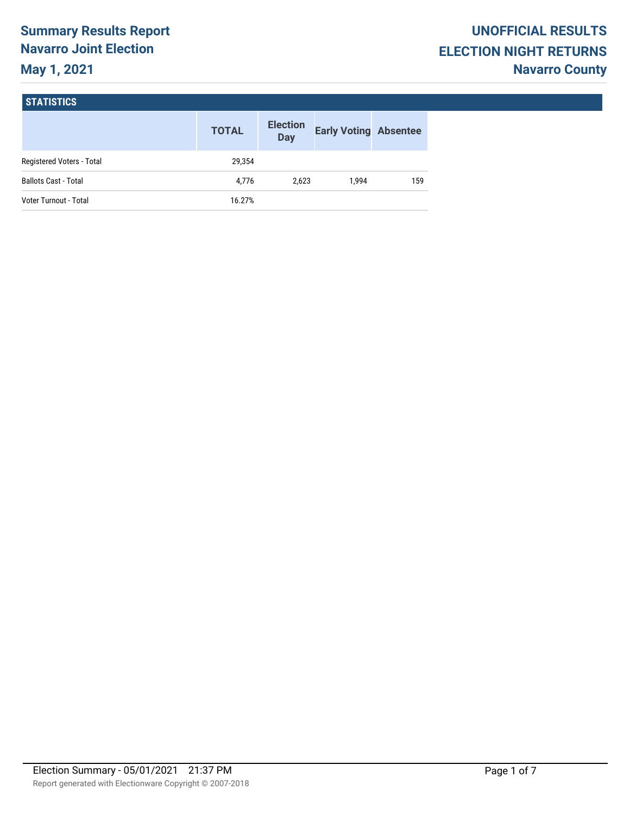# **Summary Results Report Navarro Joint Election May 1, 2021**

#### **STATISTICS**

|                             | <b>TOTAL</b> | <b>Election</b><br><b>Day</b> | <b>Early Voting Absentee</b> |     |
|-----------------------------|--------------|-------------------------------|------------------------------|-----|
| Registered Voters - Total   | 29.354       |                               |                              |     |
| <b>Ballots Cast - Total</b> | 4.776        | 2.623                         | 1.994                        | 159 |
| Voter Turnout - Total       | 16.27%       |                               |                              |     |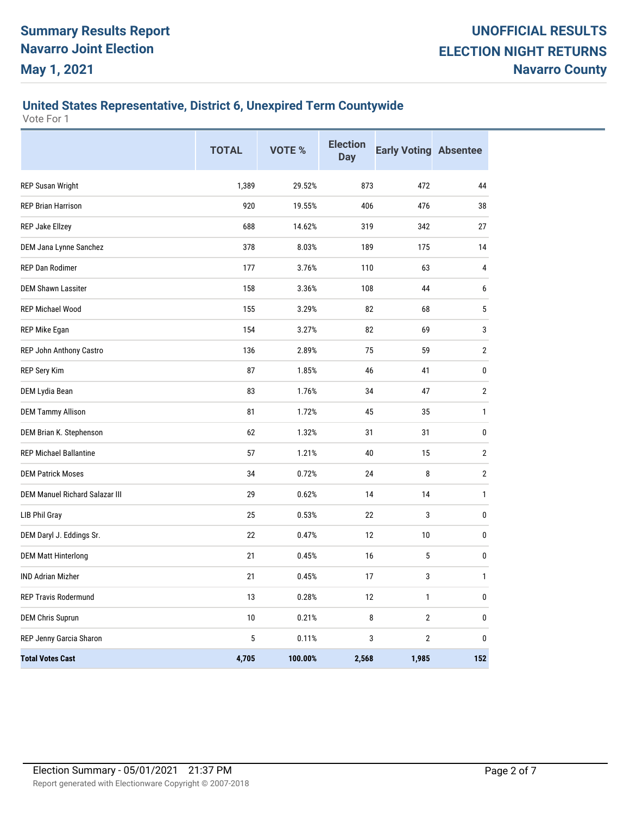# **United States Representative, District 6, Unexpired Term Countywide**

|                                       | <b>TOTAL</b> | VOTE %  | <b>Election</b><br><b>Day</b> | <b>Early Voting Absentee</b> |                |
|---------------------------------------|--------------|---------|-------------------------------|------------------------------|----------------|
| <b>REP Susan Wright</b>               | 1,389        | 29.52%  | 873                           | 472                          | 44             |
| <b>REP Brian Harrison</b>             | 920          | 19.55%  | 406                           | 476                          | 38             |
| REP Jake Ellzey                       | 688          | 14.62%  | 319                           | 342                          | 27             |
| DEM Jana Lynne Sanchez                | 378          | 8.03%   | 189                           | 175                          | 14             |
| REP Dan Rodimer                       | 177          | 3.76%   | 110                           | 63                           | 4              |
| <b>DEM Shawn Lassiter</b>             | 158          | 3.36%   | 108                           | 44                           | 6              |
| <b>REP Michael Wood</b>               | 155          | 3.29%   | 82                            | 68                           | 5              |
| REP Mike Egan                         | 154          | 3.27%   | 82                            | 69                           | 3              |
| REP John Anthony Castro               | 136          | 2.89%   | 75                            | 59                           | $\overline{2}$ |
| REP Sery Kim                          | 87           | 1.85%   | 46                            | 41                           | $\mathbf{0}$   |
| DEM Lydia Bean                        | 83           | 1.76%   | 34                            | 47                           | $\overline{2}$ |
| <b>DEM Tammy Allison</b>              | 81           | 1.72%   | 45                            | 35                           | $\mathbf{1}$   |
| DEM Brian K. Stephenson               | 62           | 1.32%   | 31                            | 31                           | 0              |
| <b>REP Michael Ballantine</b>         | 57           | 1.21%   | 40                            | 15                           | 2              |
| <b>DEM Patrick Moses</b>              | 34           | 0.72%   | 24                            | 8                            | $\overline{2}$ |
| <b>DEM Manuel Richard Salazar III</b> | 29           | 0.62%   | 14                            | 14                           | $\mathbf{1}$   |
| <b>LIB Phil Gray</b>                  | 25           | 0.53%   | 22                            | 3                            | $\mathbf{0}$   |
| DEM Daryl J. Eddings Sr.              | 22           | 0.47%   | 12                            | 10                           | $\mathbf{0}$   |
| <b>DEM Matt Hinterlong</b>            | 21           | 0.45%   | 16                            | 5                            | $\mathbf{0}$   |
| <b>IND Adrian Mizher</b>              | 21           | 0.45%   | 17                            | 3                            | $\mathbf{1}$   |
| REP Travis Rodermund                  | 13           | 0.28%   | 12                            | 1                            | $\mathbf{0}$   |
| <b>DEM Chris Suprun</b>               | 10           | 0.21%   | 8                             | $\overline{2}$               | 0              |
| REP Jenny Garcia Sharon               | 5            | 0.11%   | 3                             | $\overline{2}$               | $\Omega$       |
| <b>Total Votes Cast</b>               | 4,705        | 100.00% | 2,568                         | 1,985                        | 152            |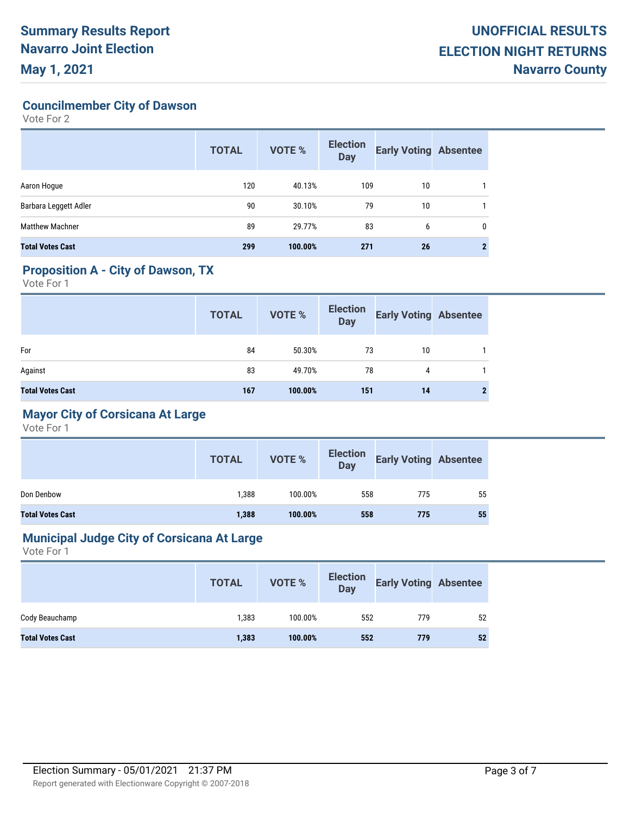**Councilmember City of Dawson**

Vote For 2

|                         | <b>TOTAL</b> | <b>VOTE %</b> | <b>Election</b><br><b>Day</b> | <b>Early Voting Absentee</b> |   |
|-------------------------|--------------|---------------|-------------------------------|------------------------------|---|
| Aaron Hogue             | 120          | 40.13%        | 109                           | 10                           |   |
| Barbara Leggett Adler   | 90           | 30.10%        | 79                            | 10                           |   |
| <b>Matthew Machner</b>  | 89           | 29.77%        | 83                            | 6                            | 0 |
| <b>Total Votes Cast</b> | 299          | 100.00%       | 271                           | 26                           |   |

## **Proposition A - City of Dawson, TX**

Vote For 1

|                         | <b>TOTAL</b> | <b>VOTE %</b> | Election<br>Day | <b>Early Voting Absentee</b> |  |
|-------------------------|--------------|---------------|-----------------|------------------------------|--|
| For                     | 84           | 50.30%        | 73              | 10                           |  |
| Against                 | 83           | 49.70%        | 78              | 4                            |  |
| <b>Total Votes Cast</b> | 167          | 100.00%       | 151             | 14                           |  |

## **Mayor City of Corsicana At Large**

Vote For 1

|                         | <b>TOTAL</b> | <b>VOTE %</b> | <b>Election</b><br>Day | <b>Early Voting Absentee</b> |    |
|-------------------------|--------------|---------------|------------------------|------------------------------|----|
| Don Denbow              | 1,388        | 100.00%       | 558                    | 775                          | 55 |
| <b>Total Votes Cast</b> | 1,388        | 100.00%       | 558                    | 775                          | 55 |

#### **Municipal Judge City of Corsicana At Large**

|                         | <b>TOTAL</b> | <b>VOTE %</b> | <b>Election</b><br>Day | <b>Early Voting Absentee</b> |    |
|-------------------------|--------------|---------------|------------------------|------------------------------|----|
| Cody Beauchamp          | 1,383        | 100.00%       | 552                    | 779                          | 52 |
| <b>Total Votes Cast</b> | 1,383        | 100.00%       | 552                    | 779                          | 52 |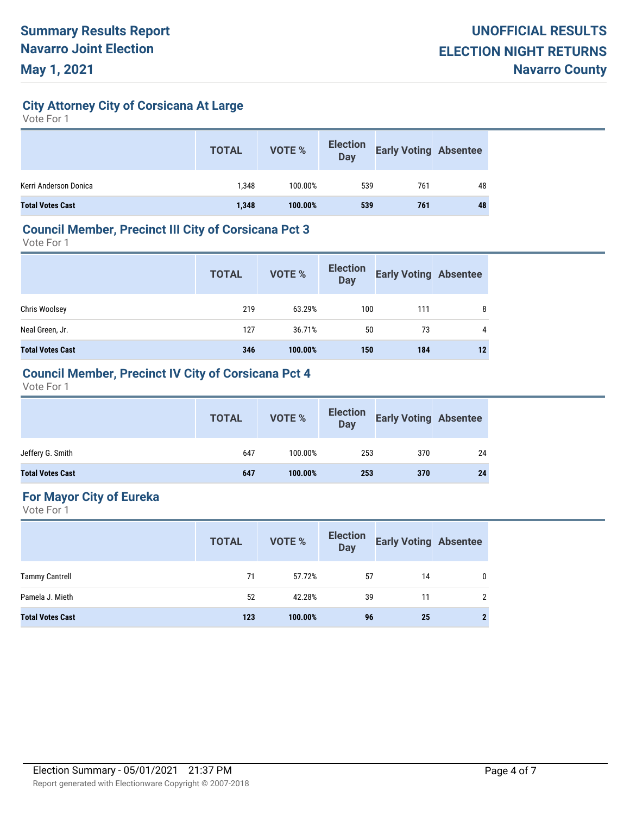## **City Attorney City of Corsicana At Large**

Vote For 1

|                         | <b>TOTAL</b> | VOTE %  | <b>Election</b><br><b>Day</b> | <b>Early Voting Absentee</b> |    |
|-------------------------|--------------|---------|-------------------------------|------------------------------|----|
| Kerri Anderson Donica   | 1.348        | 100.00% | 539                           | 761                          | 48 |
| <b>Total Votes Cast</b> | 1,348        | 100.00% | 539                           | 761                          | 48 |

#### **Council Member, Precinct III City of Corsicana Pct 3**

Vote For 1

|                         | <b>TOTAL</b> | <b>VOTE %</b> | <b>Election</b><br><b>Day</b> | <b>Early Voting Absentee</b> |    |
|-------------------------|--------------|---------------|-------------------------------|------------------------------|----|
| Chris Woolsey           | 219          | 63.29%        | 100                           | 111                          | 8  |
| Neal Green, Jr.         | 127          | 36.71%        | 50                            | 73                           | 4  |
| <b>Total Votes Cast</b> | 346          | 100.00%       | 150                           | 184                          | 12 |

#### **Council Member, Precinct IV City of Corsicana Pct 4**

Vote For 1

|                         | <b>TOTAL</b> | VOTE %  |     | Election<br>Day Early Voting Absentee |    |
|-------------------------|--------------|---------|-----|---------------------------------------|----|
| Jeffery G. Smith        | 647          | 100.00% | 253 | 370                                   | 24 |
| <b>Total Votes Cast</b> | 647          | 100.00% | 253 | 370                                   | 24 |

## **For Mayor City of Eureka**

|                         | <b>TOTAL</b> | <b>VOTE %</b> | <b>Election</b><br><b>Day</b> | <b>Early Voting Absentee</b> |                |
|-------------------------|--------------|---------------|-------------------------------|------------------------------|----------------|
| <b>Tammy Cantrell</b>   | 71           | 57.72%        | 57                            | 14                           | $\mathbf{0}$   |
| Pamela J. Mieth         | 52           | 42.28%        | 39                            | 11                           | $\mathfrak{p}$ |
| <b>Total Votes Cast</b> | 123          | 100.00%       | 96                            | 25                           | $\mathbf{2}$   |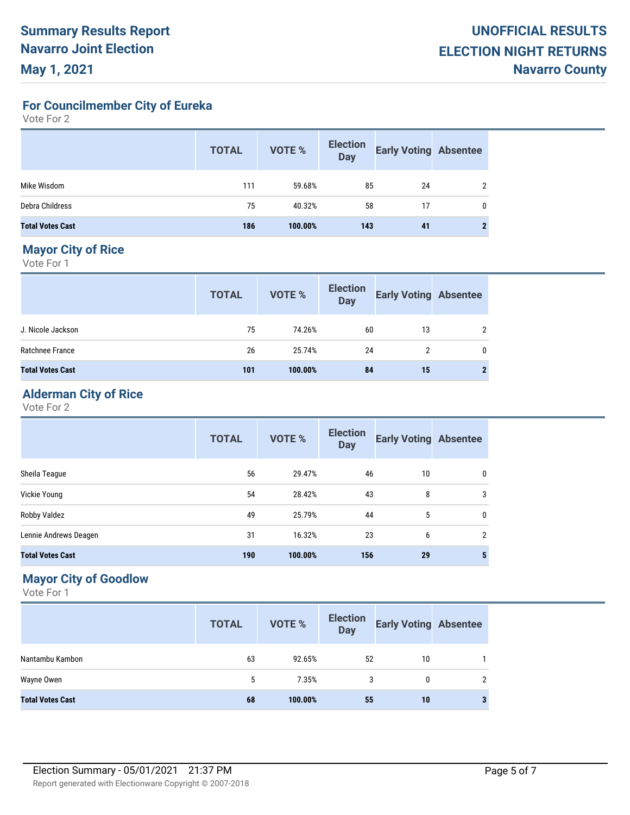**For Councilmember City of Eureka**

Vote For 2

|                         | <b>TOTAL</b> | <b>VOTE %</b> | <b>Election</b><br><b>Day</b> | <b>Early Voting Absentee</b> |  |
|-------------------------|--------------|---------------|-------------------------------|------------------------------|--|
| Mike Wisdom             | 111          | 59.68%        | 85                            | 24                           |  |
| Debra Childress         | 75           | 40.32%        | 58                            | 17                           |  |
| <b>Total Votes Cast</b> | 186          | 100.00%       | 143                           | 41                           |  |

## **Mayor City of Rice**

Vote For 1

|                         | <b>TOTAL</b> | <b>VOTE %</b> | <b>Election</b><br><b>Day</b> | <b>Early Voting Absentee</b> |   |
|-------------------------|--------------|---------------|-------------------------------|------------------------------|---|
| J. Nicole Jackson       | 75           | 74.26%        | 60                            | 13                           | 2 |
| Ratchnee France         | 26           | 25.74%        | 24                            | 2                            | 0 |
| <b>Total Votes Cast</b> | 101          | 100.00%       | 84                            | 15                           | 2 |

## **Alderman City of Rice**

Vote For 2

|                         | <b>TOTAL</b> | <b>VOTE %</b> | <b>Election</b><br><b>Day</b> | <b>Early Voting Absentee</b> |                 |
|-------------------------|--------------|---------------|-------------------------------|------------------------------|-----------------|
| Sheila Teague           | 56           | 29.47%        | 46                            | 10                           | 0               |
| Vickie Young            | 54           | 28.42%        | 43                            | 8                            | 3               |
| Robby Valdez            | 49           | 25.79%        | 44                            | 5                            | $\mathbf 0$     |
| Lennie Andrews Deagen   | 31           | 16.32%        | 23                            | 6                            | $\overline{2}$  |
| <b>Total Votes Cast</b> | 190          | 100.00%       | 156                           | 29                           | $5\phantom{.0}$ |

## **Mayor City of Goodlow**

|                         | <b>TOTAL</b> | <b>VOTE %</b> | <b>Election</b><br><b>Day</b> | <b>Early Voting Absentee</b> |                |
|-------------------------|--------------|---------------|-------------------------------|------------------------------|----------------|
| Nantambu Kambon         | 63           | 92.65%        | 52                            | 10                           |                |
| Wayne Owen              | 5            | 7.35%         | 3                             | 0                            | $\mathfrak{p}$ |
| <b>Total Votes Cast</b> | 68           | 100.00%       | 55                            | 10                           | 3              |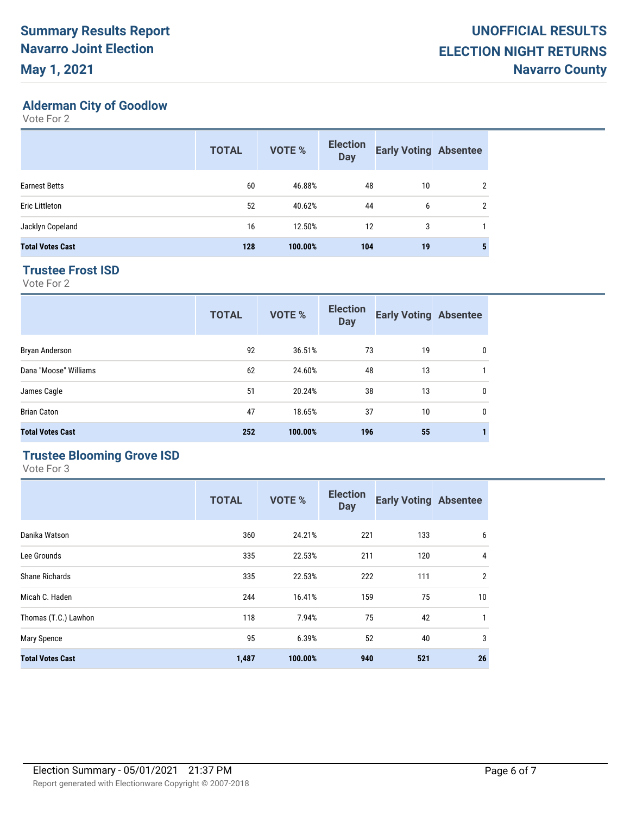# **Alderman City of Goodlow**

Vote For 2

|                         | <b>TOTAL</b> | <b>VOTE %</b> | <b>Election</b><br><b>Day</b> | <b>Early Voting Absentee</b> |                |
|-------------------------|--------------|---------------|-------------------------------|------------------------------|----------------|
| <b>Earnest Betts</b>    | 60           | 46.88%        | 48                            | 10                           | 2              |
| Eric Littleton          | 52           | 40.62%        | 44                            | 6                            | $\overline{2}$ |
| Jacklyn Copeland        | 16           | 12.50%        | 12                            | 3                            |                |
| <b>Total Votes Cast</b> | 128          | 100.00%       | 104                           | 19                           | 5              |

#### **Trustee Frost ISD**

Vote For 2

|                         | <b>TOTAL</b> | <b>VOTE %</b> | <b>Election</b><br><b>Day</b> | <b>Early Voting Absentee</b> |   |
|-------------------------|--------------|---------------|-------------------------------|------------------------------|---|
| Bryan Anderson          | 92           | 36.51%        | 73                            | 19                           | 0 |
| Dana "Moose" Williams   | 62           | 24.60%        | 48                            | 13                           |   |
| James Cagle             | 51           | 20.24%        | 38                            | 13                           | 0 |
| <b>Brian Caton</b>      | 47           | 18.65%        | 37                            | 10                           | 0 |
| <b>Total Votes Cast</b> | 252          | 100.00%       | 196                           | 55                           |   |

#### **Trustee Blooming Grove ISD**

|                         | <b>TOTAL</b> | <b>VOTE %</b> | <b>Election</b><br><b>Day</b> | <b>Early Voting Absentee</b> |                |
|-------------------------|--------------|---------------|-------------------------------|------------------------------|----------------|
| Danika Watson           | 360          | 24.21%        | 221                           | 133                          | 6              |
| Lee Grounds             | 335          | 22.53%        | 211                           | 120                          | 4              |
| <b>Shane Richards</b>   | 335          | 22.53%        | 222                           | 111                          | $\overline{2}$ |
| Micah C. Haden          | 244          | 16.41%        | 159                           | 75                           | 10             |
| Thomas (T.C.) Lawhon    | 118          | 7.94%         | 75                            | 42                           | $\mathbf{1}$   |
| Mary Spence             | 95           | 6.39%         | 52                            | 40                           | 3              |
| <b>Total Votes Cast</b> | 1,487        | 100.00%       | 940                           | 521                          | 26             |